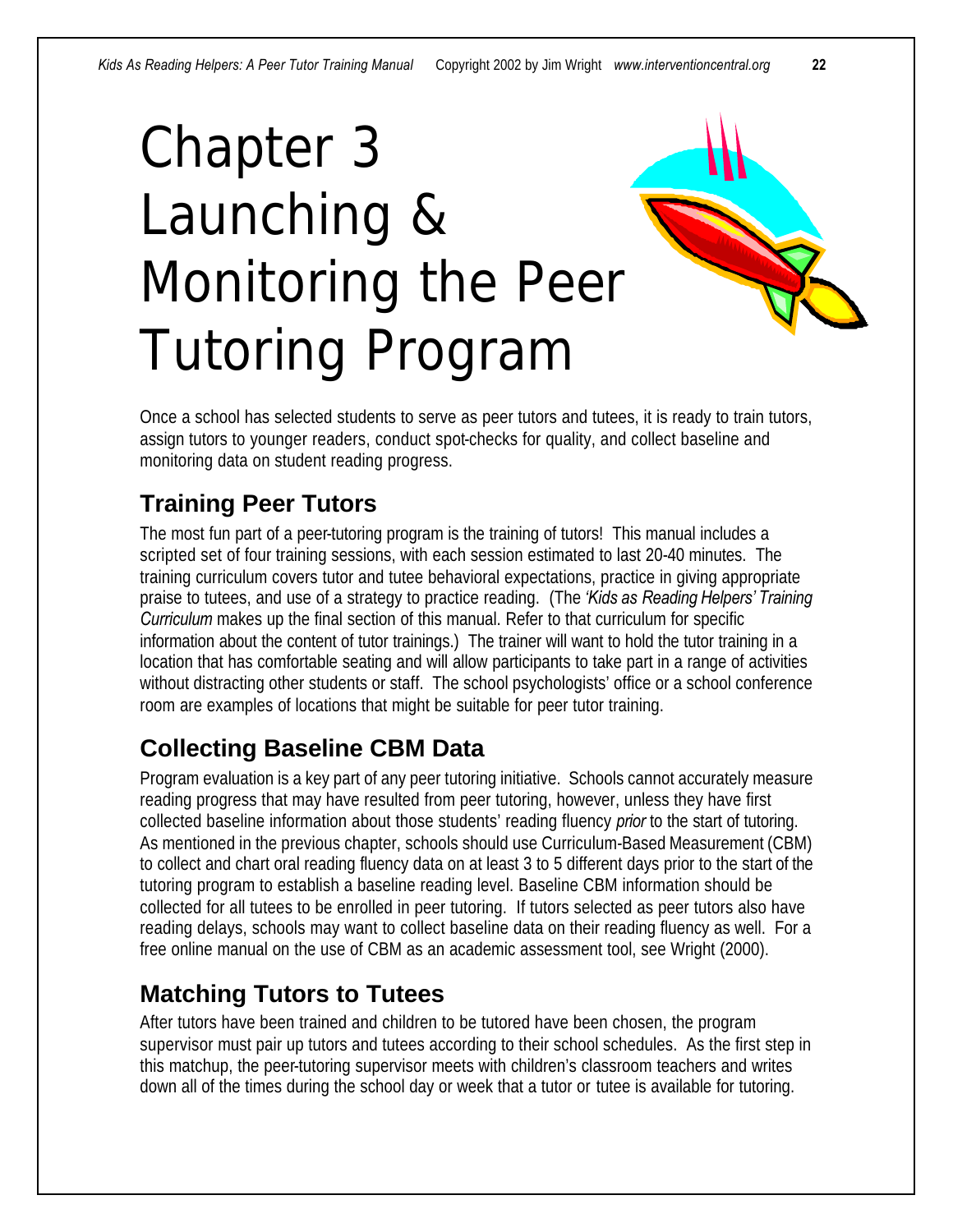# Chapter 3 Launching & Monitoring the Peer Tutoring Program



Once a school has selected students to serve as peer tutors and tutees, it is ready to train tutors, assign tutors to younger readers, conduct spot-checks for quality, and collect baseline and monitoring data on student reading progress.

### **Training Peer Tutors**

The most fun part of a peer-tutoring program is the training of tutors! This manual includes a scripted set of four training sessions, with each session estimated to last 20-40 minutes. The training curriculum covers tutor and tutee behavioral expectations, practice in giving appropriate praise to tutees, and use of a strategy to practice reading. (The *'Kids as Reading Helpers' Training Curriculum* makes up the final section of this manual. Refer to that curriculum for specific information about the content of tutor trainings.) The trainer will want to hold the tutor training in a location that has comfortable seating and will allow participants to take part in a range of activities without distracting other students or staff. The school psychologists' office or a school conference room are examples of locations that might be suitable for peer tutor training.

#### **Collecting Baseline CBM Data**

Program evaluation is a key part of any peer tutoring initiative. Schools cannot accurately measure reading progress that may have resulted from peer tutoring, however, unless they have first collected baseline information about those students' reading fluency *prior* to the start of tutoring. As mentioned in the previous chapter, schools should use Curriculum-Based Measurement (CBM) to collect and chart oral reading fluency data on at least 3 to 5 different days prior to the start of the tutoring program to establish a baseline reading level. Baseline CBM information should be collected for all tutees to be enrolled in peer tutoring. If tutors selected as peer tutors also have reading delays, schools may want to collect baseline data on their reading fluency as well. For a free online manual on the use of CBM as an academic assessment tool, see Wright (2000).

#### **Matching Tutors to Tutees**

After tutors have been trained and children to be tutored have been chosen, the program supervisor must pair up tutors and tutees according to their school schedules. As the first step in this matchup, the peer-tutoring supervisor meets with children's classroom teachers and writes down all of the times during the school day or week that a tutor or tutee is available for tutoring.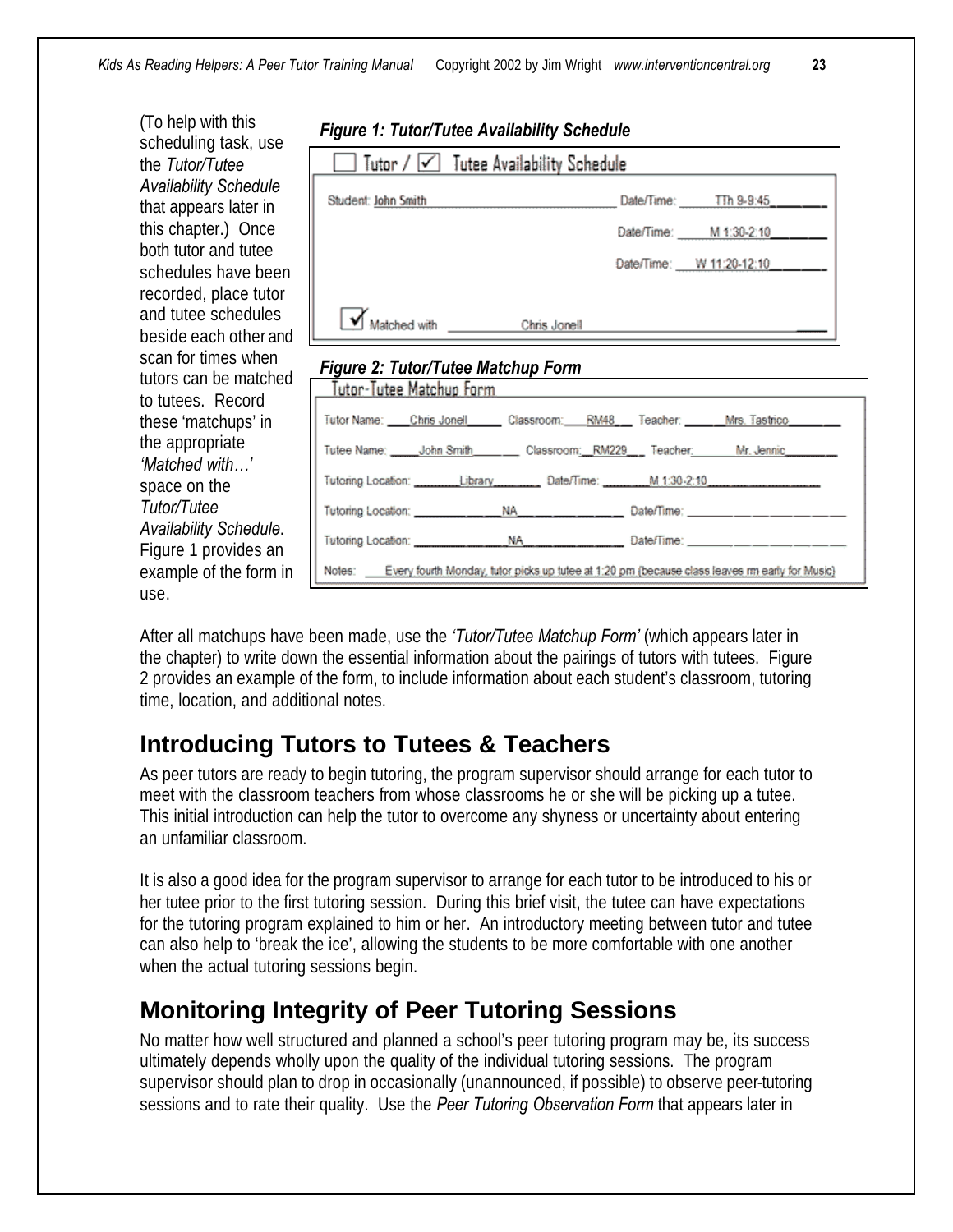(To help with this scheduling task, use the *Tutor/Tutee Availability Schedule* that appears later in this chapter.) Once both tutor and tutee schedules have been recorded, place tutor and tutee schedules beside each other and scan for times when tutors can be matched to tutees. Record these 'matchups' in the appropriate *'Matched with…'* space on the *Tutor/Tutee Availability Schedule*. Figure 1 provides an example of the form in use.

|  | <b>Figure 1: Tutor/Tutee Availability Schedule</b> |
|--|----------------------------------------------------|
|--|----------------------------------------------------|

| Tutor $/$ $\sqrt{\phantom{a}}$ Tutee Availability Schedule                                   |  |                             |  |
|----------------------------------------------------------------------------------------------|--|-----------------------------|--|
| Student: John Smith                                                                          |  | Date/Time: Th 9-9:45        |  |
|                                                                                              |  | Date/Time: M 1:30-2:10___   |  |
|                                                                                              |  | Date/Time: W 11:20-12:10___ |  |
| Matched with Chris Jonell                                                                    |  |                             |  |
| Figure 2: Tutor/Tutee Matchup Form<br>Tutor-Tutee Matchup Form                               |  |                             |  |
| Tutor Name: ____Chris Jonell________Classroom:____RM48____ Teacher: _______Mrs. Tastrico____ |  |                             |  |
| Tutog Nama: John Rmith - Closemann: DM220 - Tagahar: - Nr Jannia                             |  |                             |  |

| lutee Name: \_ \_John Smith Classroom: **RMCCA** 

|  |                                                                                                      | Date/Time: __________________ |
|--|------------------------------------------------------------------------------------------------------|-------------------------------|
|  | Notes: Every fourth Monday, tutor picks up tutee at 1:20 pm (because class leaves m early for Music) |                               |

After all matchups have been made, use the *'Tutor/Tutee Matchup Form'* (which appears later in the chapter) to write down the essential information about the pairings of tutors with tutees. Figure 2 provides an example of the form, to include information about each student's classroom, tutoring time, location, and additional notes.

#### **Introducing Tutors to Tutees & Teachers**

As peer tutors are ready to begin tutoring, the program supervisor should arrange for each tutor to meet with the classroom teachers from whose classrooms he or she will be picking up a tutee. This initial introduction can help the tutor to overcome any shyness or uncertainty about entering an unfamiliar classroom.

It is also a good idea for the program supervisor to arrange for each tutor to be introduced to his or her tutee prior to the first tutoring session. During this brief visit, the tutee can have expectations for the tutoring program explained to him or her. An introductory meeting between tutor and tutee can also help to 'break the ice', allowing the students to be more comfortable with one another when the actual tutoring sessions begin.

#### **Monitoring Integrity of Peer Tutoring Sessions**

No matter how well structured and planned a school's peer tutoring program may be, its success ultimately depends wholly upon the quality of the individual tutoring sessions. The program supervisor should plan to drop in occasionally (unannounced, if possible) to observe peer-tutoring sessions and to rate their quality. Use the *Peer Tutoring Observation Form* that appears later in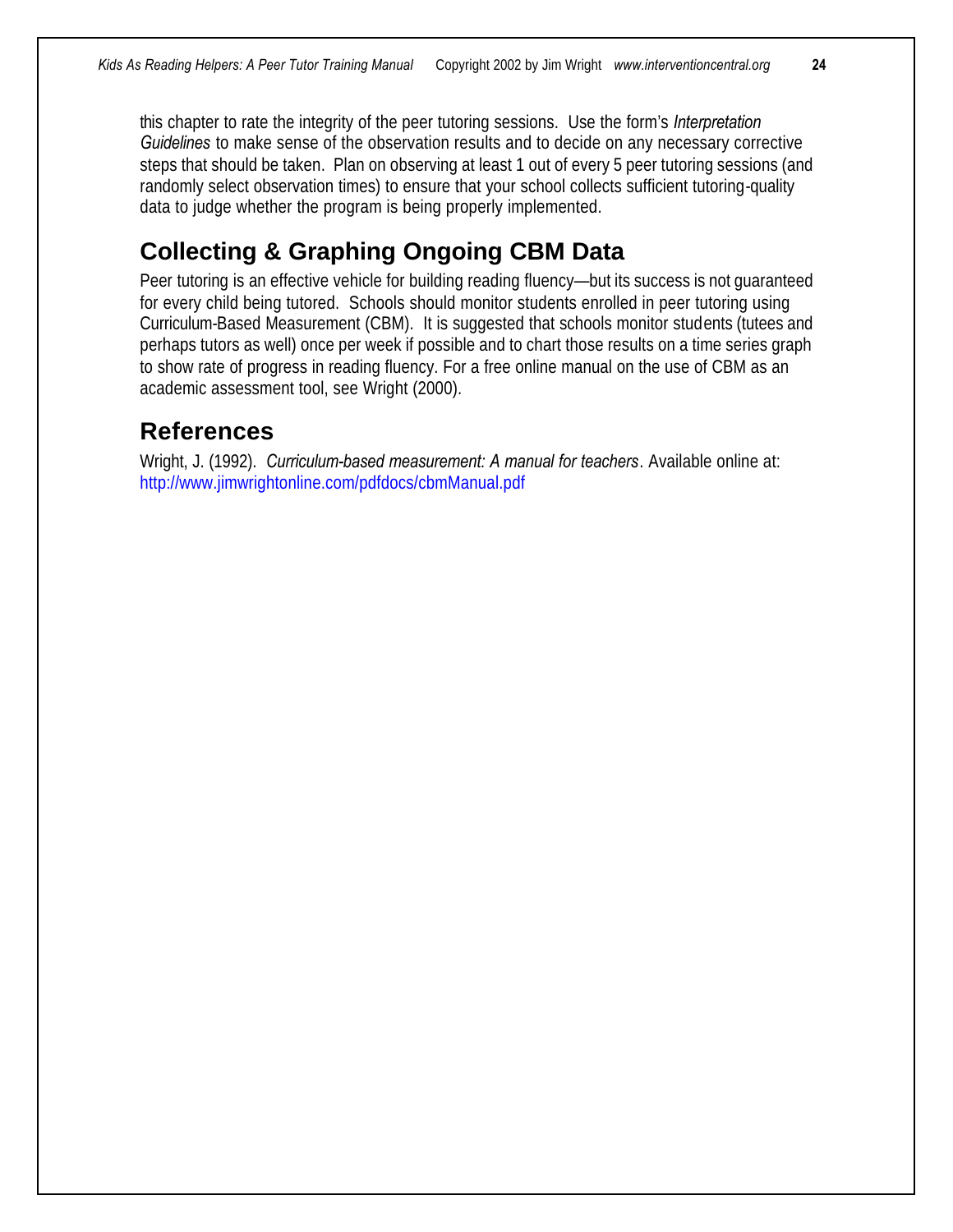this chapter to rate the integrity of the peer tutoring sessions. Use the form's *Interpretation Guidelines* to make sense of the observation results and to decide on any necessary corrective steps that should be taken. Plan on observing at least 1 out of every 5 peer tutoring sessions (and randomly select observation times) to ensure that your school collects sufficient tutoring-quality data to judge whether the program is being properly implemented.

#### **Collecting & Graphing Ongoing CBM Data**

Peer tutoring is an effective vehicle for building reading fluency—but its success is not guaranteed for every child being tutored. Schools should monitor students enrolled in peer tutoring using Curriculum-Based Measurement (CBM). It is suggested that schools monitor students (tutees and perhaps tutors as well) once per week if possible and to chart those results on a time series graph to show rate of progress in reading fluency. For a free online manual on the use of CBM as an academic assessment tool, see Wright (2000).

#### **References**

Wright, J. (1992). *Curriculum-based measurement: A manual for teachers*. Available online at: http://www.jimwrightonline.com/pdfdocs/cbmManual.pdf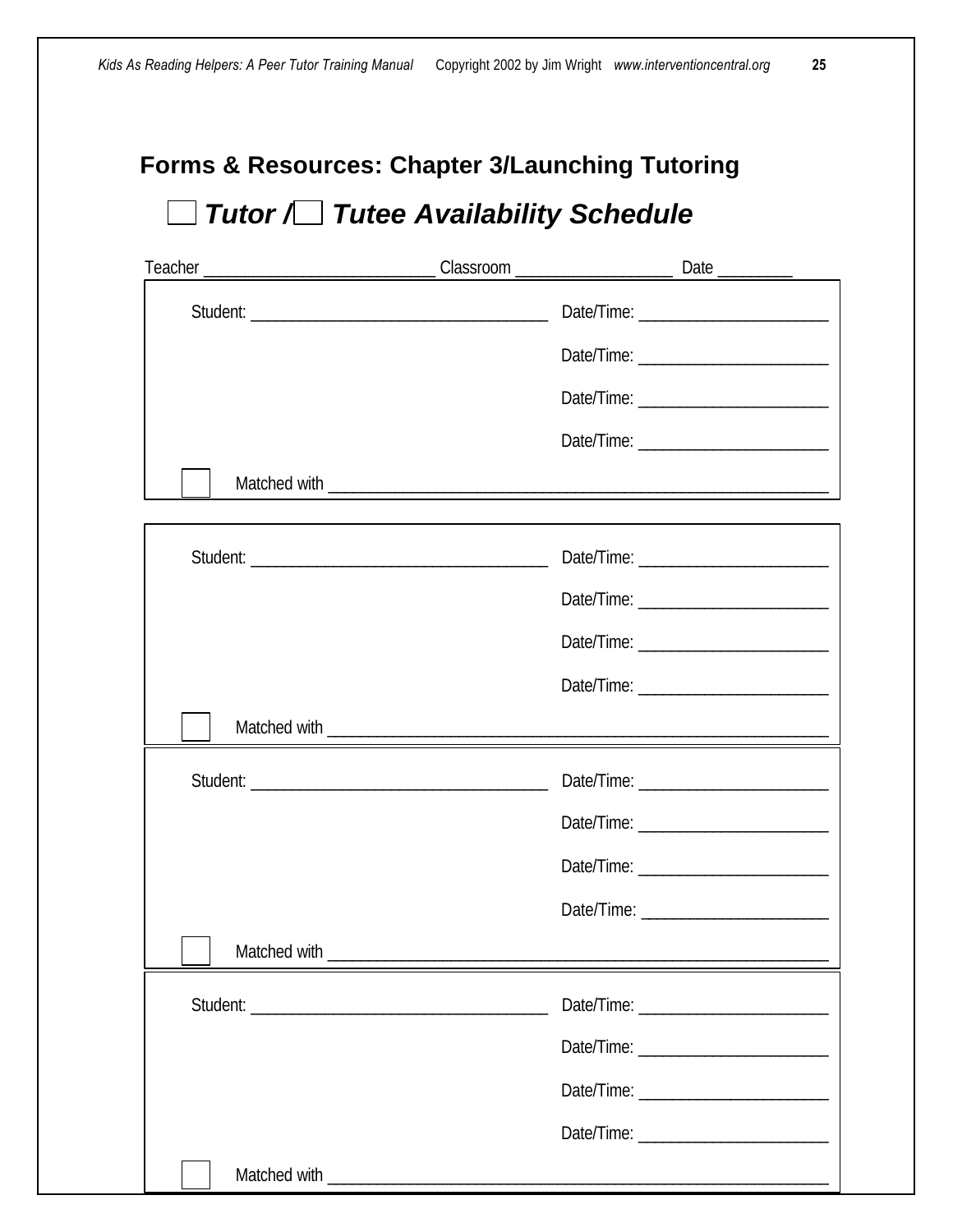## **Forms & Resources: Chapter 3/Launching Tutoring**  *Tutor / Tutee Availability Schedule*

| Matched with |  |
|--------------|--|
|              |  |
|              |  |
|              |  |
|              |  |
|              |  |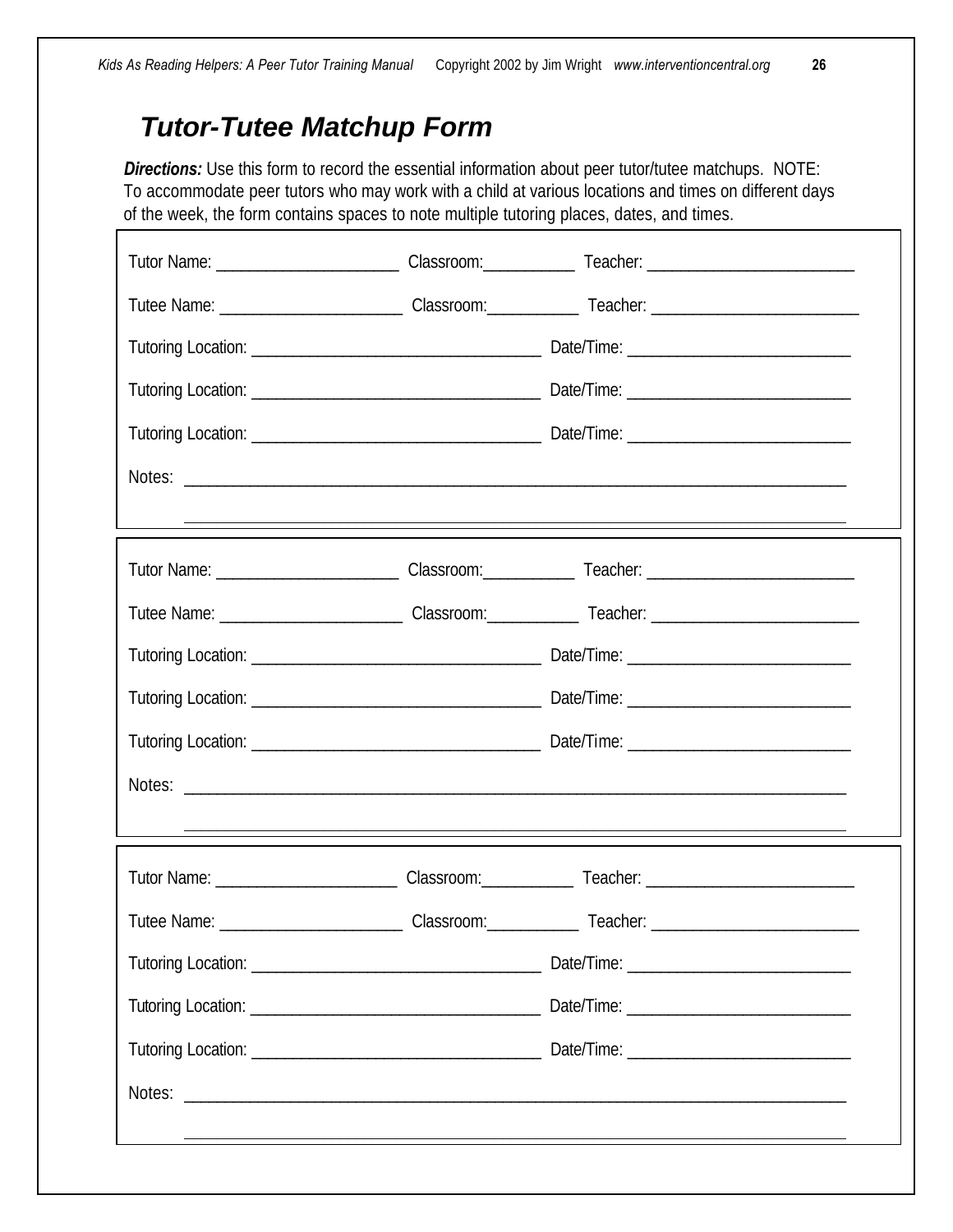### *Tutor-Tutee Matchup Form*

Г

**Directions:** Use this form to record the essential information about peer tutor/tutee matchups. NOTE: To accommodate peer tutors who may work with a child at various locations and times on different days of the week, the form contains spaces to note multiple tutoring places, dates, and times.

|  | <u> 1980 - Andrea Andrew Maria (h. 1980).</u> |
|--|-----------------------------------------------|
|  |                                               |
|  |                                               |
|  |                                               |
|  |                                               |
|  |                                               |
|  |                                               |
|  |                                               |
|  |                                               |
|  |                                               |
|  |                                               |
|  |                                               |
|  |                                               |
|  |                                               |
|  |                                               |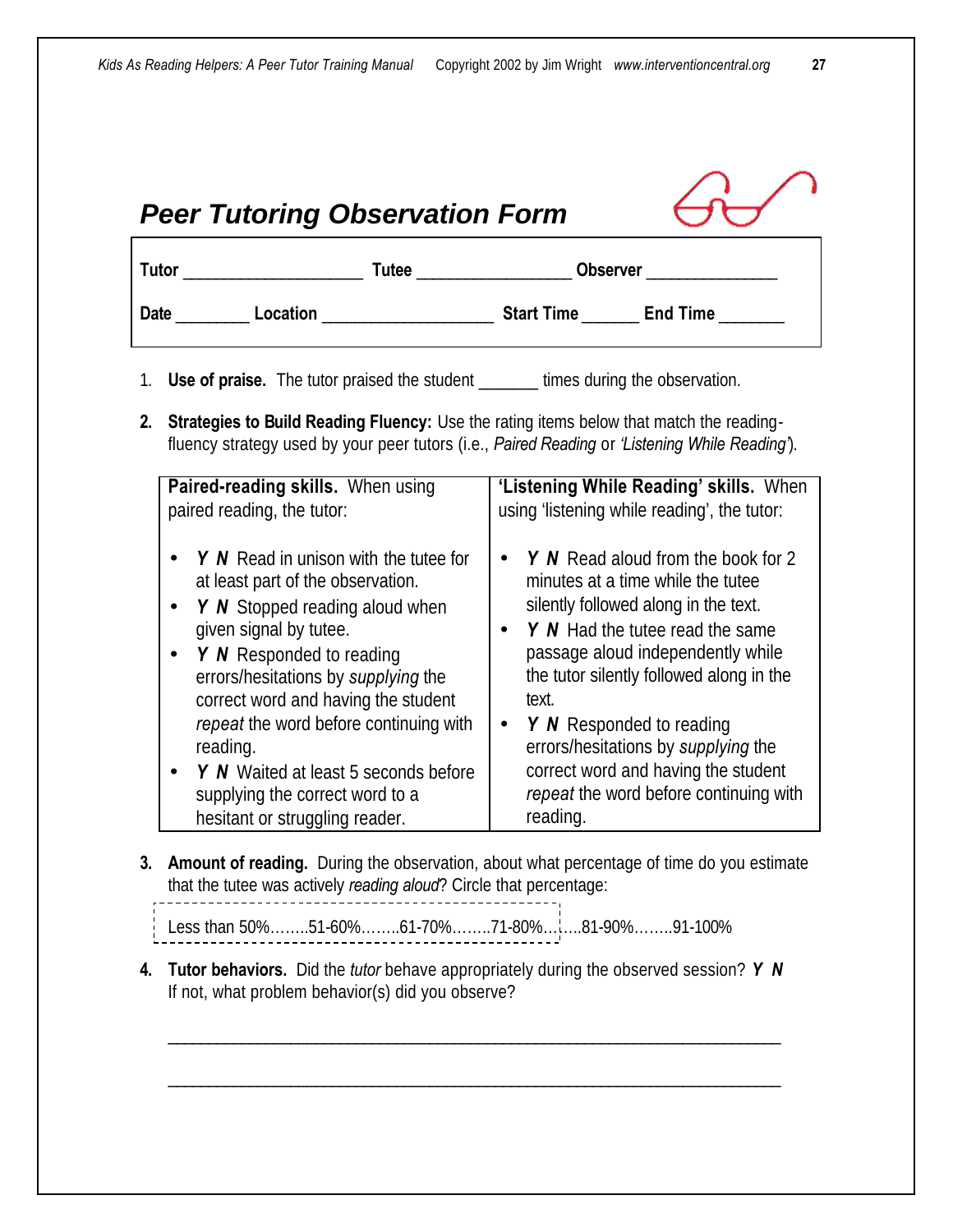| 1. | <b>Use of praise.</b> The tutor praised the student _______ times during the observation.                                                                                                                                                                                                               |                                                                                                                                                                                                                                                                                                                    |  |
|----|---------------------------------------------------------------------------------------------------------------------------------------------------------------------------------------------------------------------------------------------------------------------------------------------------------|--------------------------------------------------------------------------------------------------------------------------------------------------------------------------------------------------------------------------------------------------------------------------------------------------------------------|--|
| 2. | <b>Strategies to Build Reading Fluency:</b> Use the rating items below that match the reading-<br>fluency strategy used by your peer tutors (i.e., Paired Reading or 'Listening While Reading').                                                                                                        |                                                                                                                                                                                                                                                                                                                    |  |
|    | Paired-reading skills. When using<br>paired reading, the tutor:                                                                                                                                                                                                                                         | 'Listening While Reading' skills. When<br>using 'listening while reading', the tutor:                                                                                                                                                                                                                              |  |
|    | Y N Read in unison with the tutee for<br>at least part of the observation.<br>Y N Stopped reading aloud when<br>given signal by tutee.<br>Y N Responded to reading<br>$\bullet$<br>errors/hesitations by supplying the<br>correct word and having the student<br>repeat the word before continuing with | $Y \wedge N$ Read aloud from the book for 2<br>minutes at a time while the tutee<br>silently followed along in the text.<br>Y N Had the tutee read the same<br>$\bullet$<br>passage aloud independently while<br>the tutor silently followed along in the<br>text.<br><b>Y</b> N Responded to reading<br>$\bullet$ |  |
|    | reading.<br>Y N Waited at least 5 seconds before<br>supplying the correct word to a<br>hesitant or struggling reader.                                                                                                                                                                                   | errors/hesitations by supplying the<br>correct word and having the student<br>repeat the word before continuing with<br>reading.                                                                                                                                                                                   |  |

- that the tutee was actively *reading aloud*? Circle that percentage:
- Less than 50%……..51-60%……..61-70%……..71-80%……..81-90%……..91-100%
- **4. Tutor behaviors.** Did the *tutor* behave appropriately during the observed session? *Y N* If not, what problem behavior(s) did you observe?

\_\_\_\_\_\_\_\_\_\_\_\_\_\_\_\_\_\_\_\_\_\_\_\_\_\_\_\_\_\_\_\_\_\_\_\_\_\_\_\_\_\_\_\_\_\_\_\_\_\_\_\_\_\_\_\_\_\_\_\_\_\_\_\_\_\_\_\_\_\_\_\_\_\_\_

\_\_\_\_\_\_\_\_\_\_\_\_\_\_\_\_\_\_\_\_\_\_\_\_\_\_\_\_\_\_\_\_\_\_\_\_\_\_\_\_\_\_\_\_\_\_\_\_\_\_\_\_\_\_\_\_\_\_\_\_\_\_\_\_\_\_\_\_\_\_\_\_\_\_\_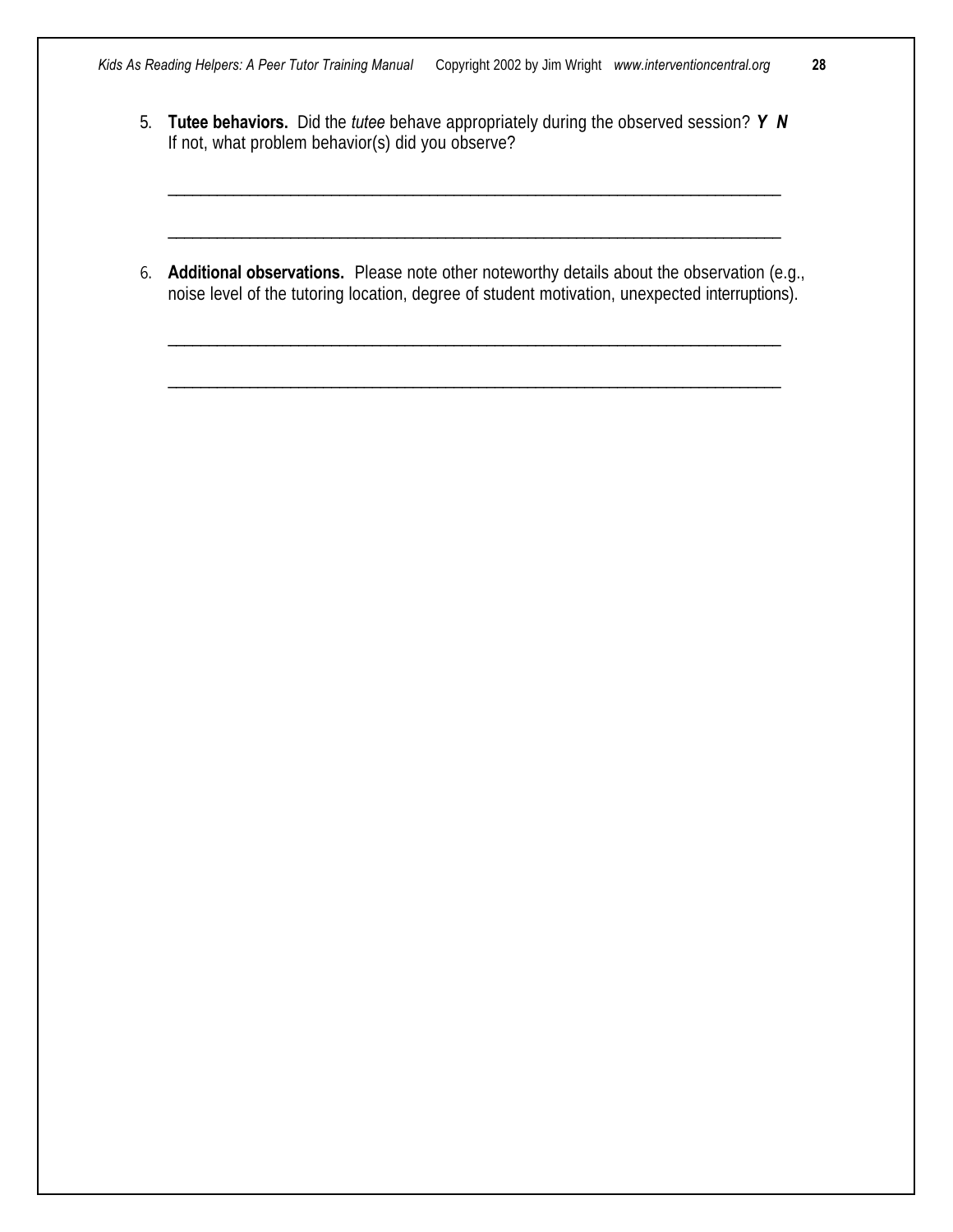- 5. **Tutee behaviors.** Did the *tutee* behave appropriately during the observed session? *Y N* If not, what problem behavior(s) did you observe?
- 6. **Additional observations.** Please note other noteworthy details about the observation (e.g., noise level of the tutoring location, degree of student motivation, unexpected interruptions).

\_\_\_\_\_\_\_\_\_\_\_\_\_\_\_\_\_\_\_\_\_\_\_\_\_\_\_\_\_\_\_\_\_\_\_\_\_\_\_\_\_\_\_\_\_\_\_\_\_\_\_\_\_\_\_\_\_\_\_\_\_\_\_\_\_\_\_\_\_\_\_\_\_\_\_

\_\_\_\_\_\_\_\_\_\_\_\_\_\_\_\_\_\_\_\_\_\_\_\_\_\_\_\_\_\_\_\_\_\_\_\_\_\_\_\_\_\_\_\_\_\_\_\_\_\_\_\_\_\_\_\_\_\_\_\_\_\_\_\_\_\_\_\_\_\_\_\_\_\_\_

\_\_\_\_\_\_\_\_\_\_\_\_\_\_\_\_\_\_\_\_\_\_\_\_\_\_\_\_\_\_\_\_\_\_\_\_\_\_\_\_\_\_\_\_\_\_\_\_\_\_\_\_\_\_\_\_\_\_\_\_\_\_\_\_\_\_\_\_\_\_\_\_\_\_\_

\_\_\_\_\_\_\_\_\_\_\_\_\_\_\_\_\_\_\_\_\_\_\_\_\_\_\_\_\_\_\_\_\_\_\_\_\_\_\_\_\_\_\_\_\_\_\_\_\_\_\_\_\_\_\_\_\_\_\_\_\_\_\_\_\_\_\_\_\_\_\_\_\_\_\_